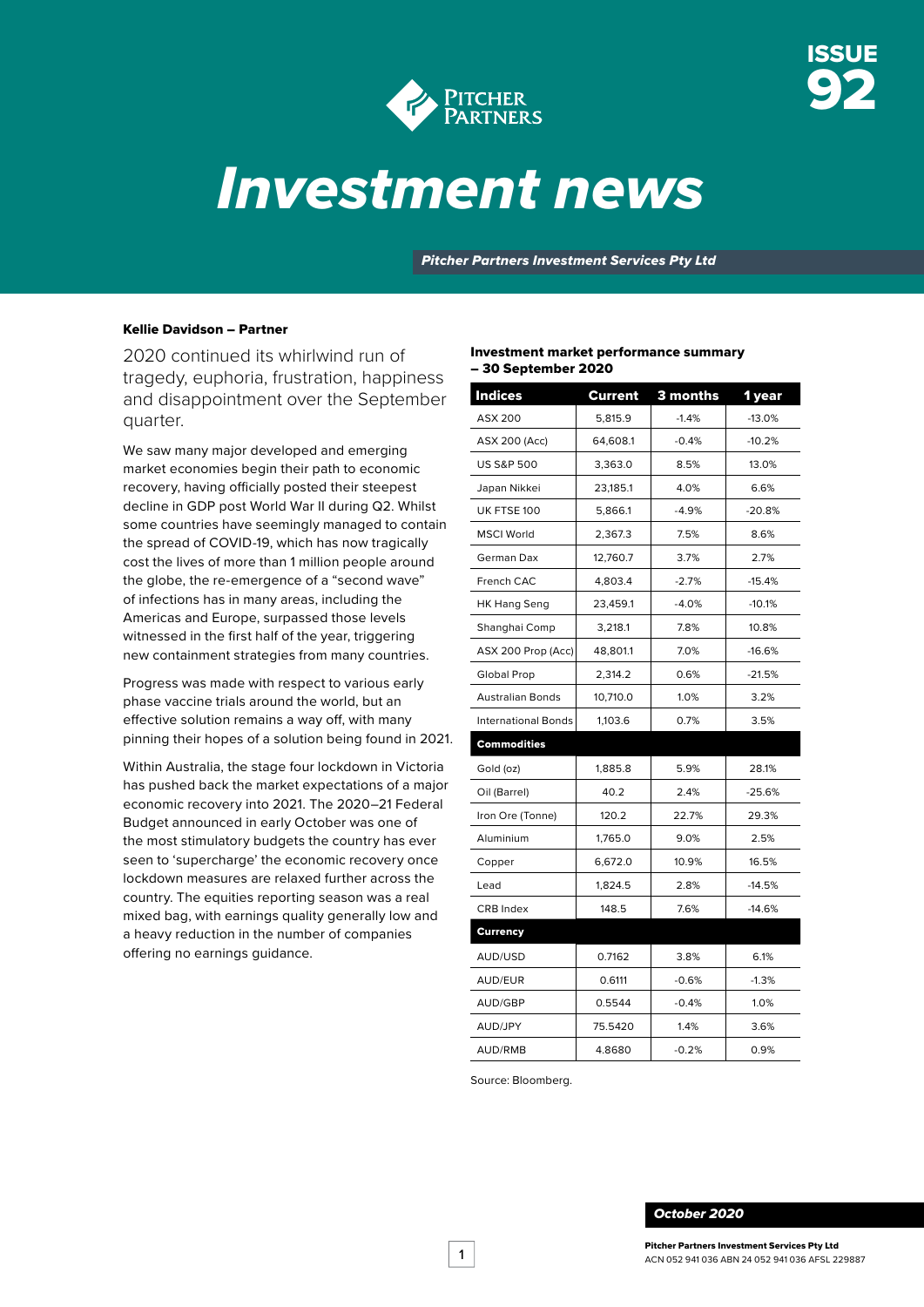

# *Investment news*

*Pitcher Partners Investment Services Pty Ltd*

### Kellie Davidson – Partner

2020 continued its whirlwind run of tragedy, euphoria, frustration, happiness and disappointment over the September quarter.

We saw many major developed and emerging market economies begin their path to economic recovery, having officially posted their steepest decline in GDP post World War II during Q2. Whilst some countries have seemingly managed to contain the spread of COVID-19, which has now tragically cost the lives of more than 1 million people around the globe, the re-emergence of a "second wave" of infections has in many areas, including the Americas and Europe, surpassed those levels witnessed in the first half of the year, triggering new containment strategies from many countries.

Progress was made with respect to various early phase vaccine trials around the world, but an effective solution remains a way off, with many pinning their hopes of a solution being found in 2021.

Within Australia, the stage four lockdown in Victoria has pushed back the market expectations of a major economic recovery into 2021. The 2020–21 Federal Budget announced in early October was one of the most stimulatory budgets the country has ever seen to 'supercharge' the economic recovery once lockdown measures are relaxed further across the country. The equities reporting season was a real mixed bag, with earnings quality generally low and a heavy reduction in the number of companies offering no earnings guidance.

### Investment market performance summary – 30 September 2020

| <b>Indices</b>             | <b>Current</b> | 3 months | 1 year   |
|----------------------------|----------------|----------|----------|
| <b>ASX 200</b>             | 5,815.9        | $-1.4%$  | $-13.0%$ |
| ASX 200 (Acc)              | 64,608.1       | $-0.4%$  | $-10.2%$ |
| <b>US S&amp;P 500</b>      | 3,363.0        | 8.5%     | 13.0%    |
| Japan Nikkei               | 23,185.1       | 4.0%     | 6.6%     |
| UK FTSE 100                | 5,866.1        | $-4.9%$  | $-20.8%$ |
| <b>MSCI World</b>          | 2,367.3        | 7.5%     | 8.6%     |
| German Dax                 | 12,760.7       | 3.7%     | 2.7%     |
| French CAC                 | 4,803.4        | $-2.7%$  | $-15.4%$ |
| <b>HK Hang Seng</b>        | 23,459.1       | $-4.0%$  | $-10.1%$ |
| Shanghai Comp              | 3,218.1        | 7.8%     | 10.8%    |
| ASX 200 Prop (Acc)         | 48,801.1       | 7.0%     | $-16.6%$ |
| Global Prop                | 2,314.2        | 0.6%     | $-21.5%$ |
| <b>Australian Bonds</b>    | 10,710.0       | 1.0%     | 3.2%     |
| <b>International Bonds</b> | 1,103.6        | 0.7%     | 3.5%     |
| Commodities                |                |          |          |
| Gold (oz)                  | 1,885.8        | 5.9%     | 28.1%    |
| Oil (Barrel)               | 40.2           | 2.4%     | $-25.6%$ |
| Iron Ore (Tonne)           | 120.2          | 22.7%    | 29.3%    |
| Aluminium                  | 1,765.0        | 9.0%     | 2.5%     |
| Copper                     | 6,672.0        | 10.9%    | 16.5%    |
| Lead                       | 1,824.5        | 2.8%     | $-14.5%$ |
| <b>CRB Index</b>           | 148.5          | 7.6%     | $-14.6%$ |
| <b>Currency</b>            |                |          |          |
| AUD/USD                    | 0.7162         | 3.8%     | 6.1%     |
| AUD/EUR                    | 0.6111         | $-0.6%$  | $-1.3%$  |
| AUD/GBP                    | 0.5544         | $-0.4%$  | 1.0%     |
| AUD/JPY                    | 75.5420        | 1.4%     | 3.6%     |
| AUD/RMB                    | 4.8680         | $-0.2%$  | 0.9%     |

Source: Bloomberg.

#### *October 2020*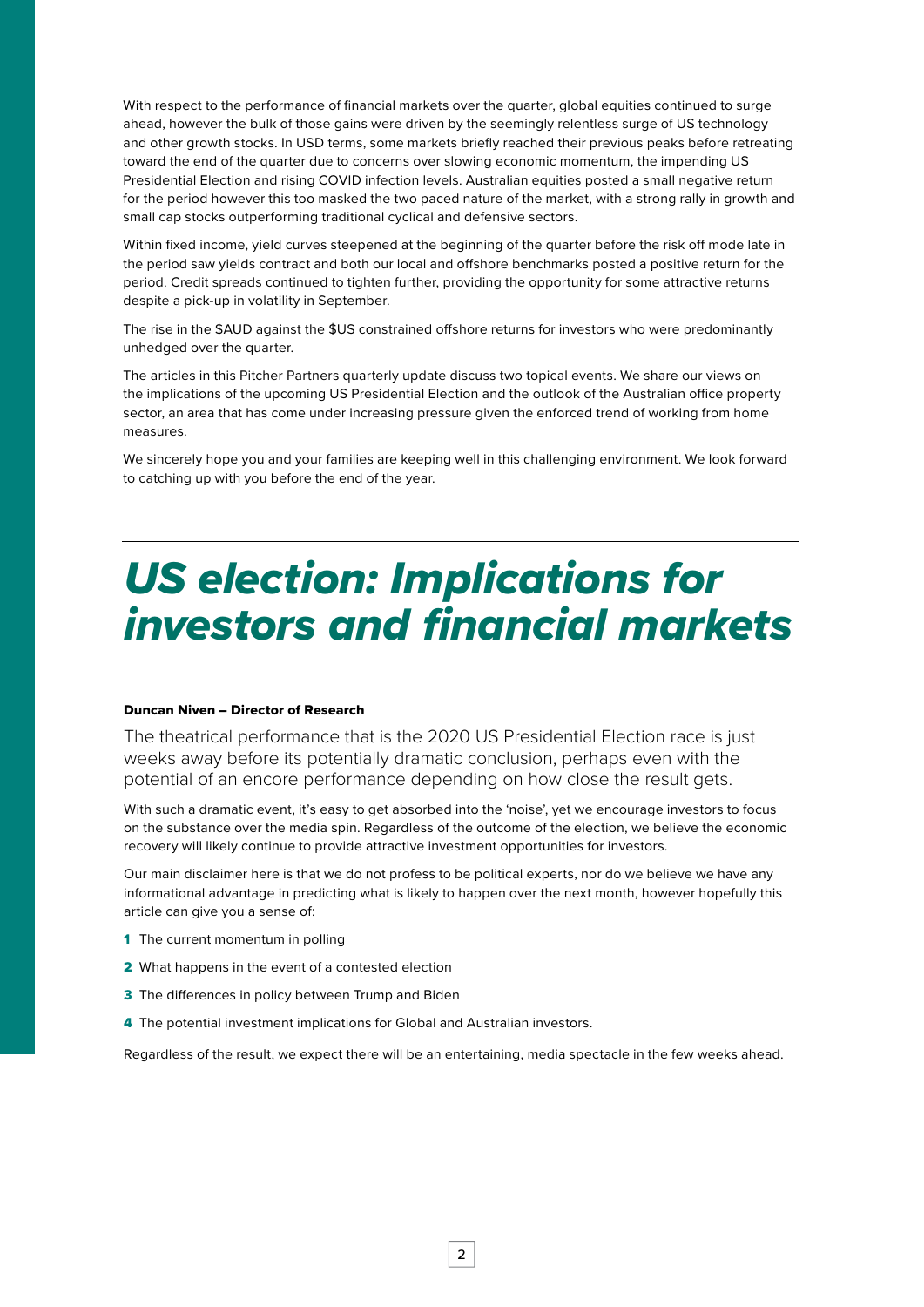With respect to the performance of financial markets over the quarter, global equities continued to surge ahead, however the bulk of those gains were driven by the seemingly relentless surge of US technology and other growth stocks. In USD terms, some markets briefly reached their previous peaks before retreating toward the end of the quarter due to concerns over slowing economic momentum, the impending US Presidential Election and rising COVID infection levels. Australian equities posted a small negative return for the period however this too masked the two paced nature of the market, with a strong rally in growth and small cap stocks outperforming traditional cyclical and defensive sectors.

Within fixed income, yield curves steepened at the beginning of the quarter before the risk off mode late in the period saw yields contract and both our local and offshore benchmarks posted a positive return for the period. Credit spreads continued to tighten further, providing the opportunity for some attractive returns despite a pick-up in volatility in September.

The rise in the \$AUD against the \$US constrained offshore returns for investors who were predominantly unhedged over the quarter.

The articles in this Pitcher Partners quarterly update discuss two topical events. We share our views on the implications of the upcoming US Presidential Election and the outlook of the Australian office property sector, an area that has come under increasing pressure given the enforced trend of working from home measures.

We sincerely hope you and your families are keeping well in this challenging environment. We look forward to catching up with you before the end of the year.

# *US election: Implications for investors and financial markets*

### Duncan Niven – Director of Research

The theatrical performance that is the 2020 US Presidential Election race is just weeks away before its potentially dramatic conclusion, perhaps even with the potential of an encore performance depending on how close the result gets.

With such a dramatic event, it's easy to get absorbed into the 'noise', yet we encourage investors to focus on the substance over the media spin. Regardless of the outcome of the election, we believe the economic recovery will likely continue to provide attractive investment opportunities for investors.

Our main disclaimer here is that we do not profess to be political experts, nor do we believe we have any informational advantage in predicting what is likely to happen over the next month, however hopefully this article can give you a sense of:

- 1 [The current momentum in polling](#page-2-0)
- 2 [What happens in the event of a contested election](#page-4-0)
- **3** [The differences in policy between Trump and Biden](#page-5-0)
- 4 [The potential investment implications for Global and Australian investors.](#page-6-0)

Regardless of the result, we expect there will be an entertaining, media spectacle in the few weeks ahead.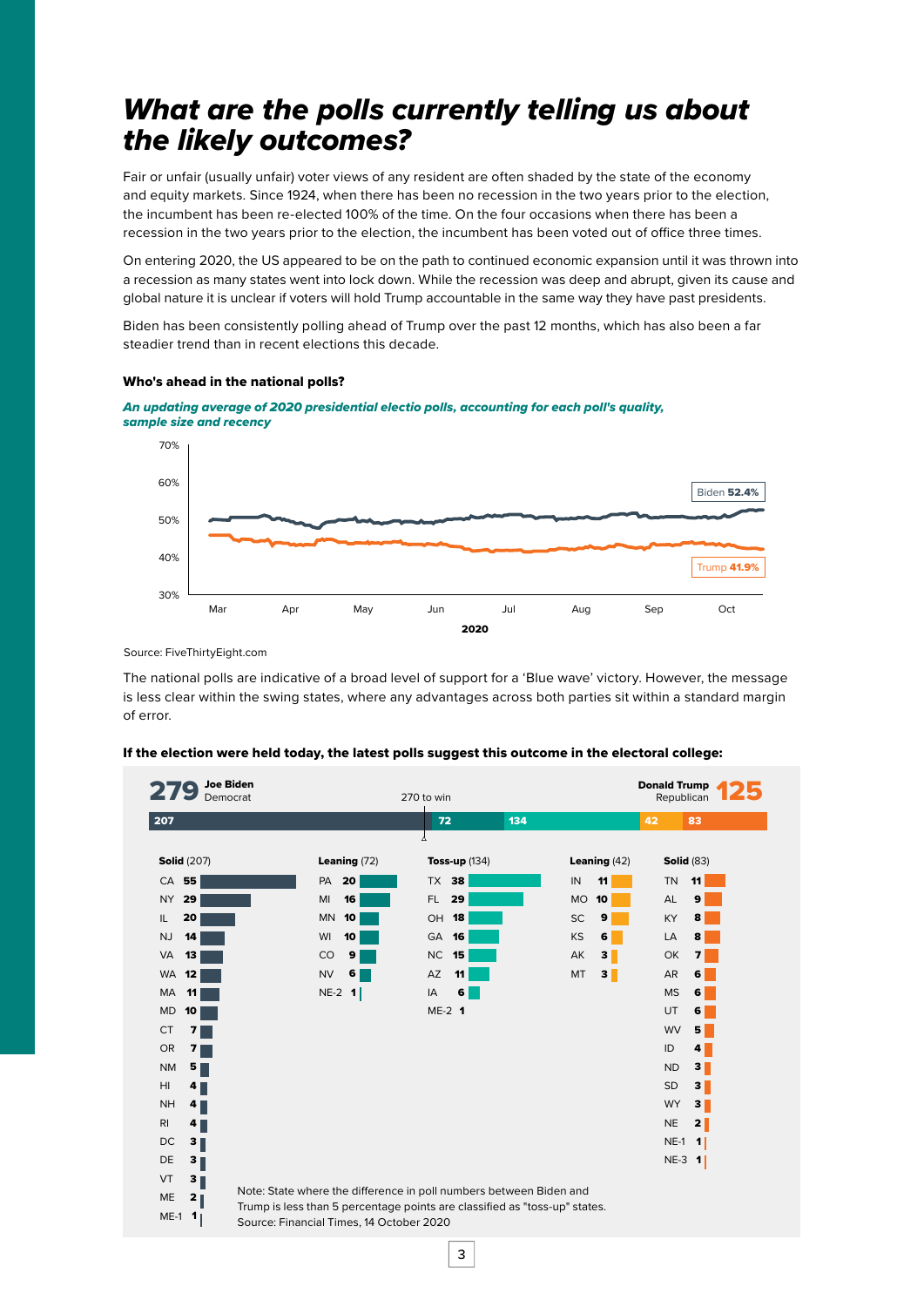# <span id="page-2-0"></span>*What are the polls currently telling us about the likely outcomes?*

Fair or unfair (usually unfair) voter views of any resident are often shaded by the state of the economy and equity markets. Since 1924, when there has been no recession in the two years prior to the election, the incumbent has been re-elected 100% of the time. On the four occasions when there has been a recession in the two years prior to the election, the incumbent has been voted out of office three times.

On entering 2020, the US appeared to be on the path to continued economic expansion until it was thrown into a recession as many states went into lock down. While the recession was deep and abrupt, given its cause and global nature it is unclear if voters will hold Trump accountable in the same way they have past presidents.

Biden has been consistently polling ahead of Trump over the past 12 months, which has also been a far steadier trend than in recent elections this decade.

*An updating average of 2020 presidential electio polls, accounting for each poll's quality,*

### Biden 52.4% 30% 40% 50% 60% 70% Mar Apr May Jun Jul Aug Sep Oct Trump 41.9% *sample size and recency*

### Who's ahead in the national polls?

Source: FiveThirtyEight.com

The national polls are indicative of a broad level of support for a 'Blue wave' victory. However, the message is less clear within the swing states, where any advantages across both parties sit within a standard margin of error.

2020

| <b>Joe Biden</b><br>Democrat          |                                          | 270 to win                                                                 |                      | <b>Donald Trump</b><br>Republican |
|---------------------------------------|------------------------------------------|----------------------------------------------------------------------------|----------------------|-----------------------------------|
| 207                                   |                                          | 72<br>134                                                                  |                      | 42<br>83                          |
| <b>Solid (207)</b>                    | Leaning $(72)$                           | Δ<br>Toss-up $(134)$                                                       | Leaning $(42)$       | <b>Solid (83)</b>                 |
| $CA$ 55                               | <b>PA 20</b>                             | TX 38                                                                      | IN<br>11             | <b>TN</b><br>11                   |
| 29<br>NY I                            | MI<br>16                                 | 29<br>FL.                                                                  | <b>MO</b><br>10      | AL<br>9                           |
| IL.<br>20                             | <b>MN</b><br>10                          | OH 18                                                                      | SC<br>9              | KY<br>8                           |
| <b>NJ</b><br>14                       | WI<br>10                                 | GA 16                                                                      | KS<br>6              | LA<br>8                           |
| VA<br>13                              | CO<br>9                                  | NC<br>15                                                                   | AK<br>3 <sup>1</sup> | OK<br>$\overline{ }$              |
| WA<br>12                              | <b>NV</b><br>6                           | AZ<br>11                                                                   | MT<br>3 <sub>1</sub> | AR<br>6                           |
| MA<br>11                              | $NE-2$ 1                                 | 6<br>IA                                                                    |                      | <b>MS</b><br>6                    |
| MD<br>10                              |                                          | $ME-2$ 1                                                                   |                      | UT<br>6                           |
| <b>CT</b><br>$\overline{\phantom{a}}$ |                                          |                                                                            |                      | WV<br>5 <sub>1</sub>              |
| OR<br>7                               |                                          |                                                                            |                      | ID<br>4 <sup>1</sup>              |
| <b>NM</b><br>5                        |                                          |                                                                            |                      | $3 \parallel$<br><b>ND</b>        |
| HI<br>$4 \blacksquare$                |                                          |                                                                            |                      | $3 \parallel$<br>SD               |
| <b>NH</b><br>4 <sub>1</sub>           |                                          |                                                                            |                      | <b>WY</b><br>$3 \blacksquare$     |
| R <sub>l</sub><br>4                   |                                          |                                                                            |                      | <b>NE</b><br>2 <sub>1</sub>       |
| 3<br>DC                               |                                          |                                                                            |                      | $NE-1$<br>$\vert$ 1               |
| DE<br>3                               |                                          |                                                                            |                      | $NE-3$ 1                          |
| VT<br>$3 \parallel$                   |                                          |                                                                            |                      |                                   |
| <b>ME</b><br>2 <sub>  </sub>          |                                          | Note: State where the difference in poll numbers between Biden and         |                      |                                   |
| $ME-1$ 1                              | Source: Financial Times, 14 October 2020 | Trump is less than 5 percentage points are classified as "toss-up" states. |                      |                                   |

3

#### If the election were held today, the latest polls suggest this outcome in the electoral college: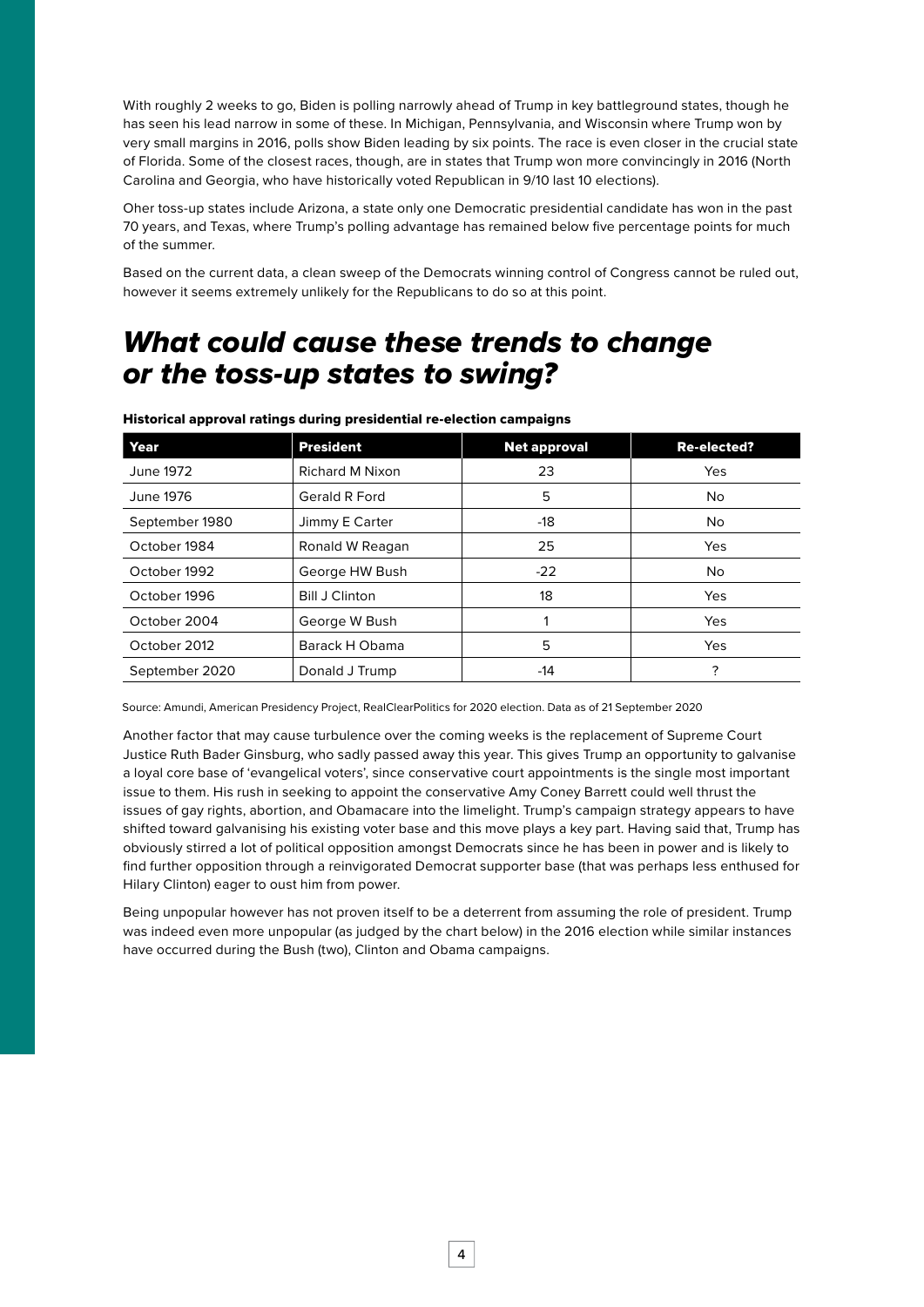With roughly 2 weeks to go, Biden is polling narrowly ahead of Trump in key battleground states, though he has seen his lead narrow in some of these. In Michigan, Pennsylvania, and Wisconsin where Trump won by very small margins in 2016, polls show Biden leading by six points. The race is even closer in the crucial state of Florida. Some of the closest races, though, are in states that Trump won more convincingly in 2016 (North Carolina and Georgia, who have historically voted Republican in 9/10 last 10 elections).

Oher toss-up states include Arizona, a state only one Democratic presidential candidate has won in the past 70 years, and Texas, where Trump's polling advantage has remained below five percentage points for much of the summer.

Based on the current data, a clean sweep of the Democrats winning control of Congress cannot be ruled out, however it seems extremely unlikely for the Republicans to do so at this point.

### *What could cause these trends to change or the toss-up states to swing?*

| Year           | <b>President</b>      | <b>Net approval</b> | <b>Re-elected?</b> |
|----------------|-----------------------|---------------------|--------------------|
| June 1972      | Richard M Nixon       | 23                  | Yes                |
| June 1976      | Gerald R Ford         | 5                   | No.                |
| September 1980 | Jimmy E Carter        | -18                 | No.                |
| October 1984   | Ronald W Reagan       | 25                  | <b>Yes</b>         |
| October 1992   | George HW Bush        | $-22$               | No.                |
| October 1996   | <b>Bill J Clinton</b> | 18                  | Yes                |
| October 2004   | George W Bush         |                     | Yes                |
| October 2012   | Barack H Obama        | 5                   | <b>Yes</b>         |
| September 2020 | Donald J Trump        | -14                 | ?                  |

Historical approval ratings during presidential re-election campaigns

Source: Amundi, American Presidency Project, RealClearPolitics for 2020 election. Data as of 21 September 2020

Another factor that may cause turbulence over the coming weeks is the replacement of Supreme Court Justice Ruth Bader Ginsburg, who sadly passed away this year. This gives Trump an opportunity to galvanise a loyal core base of 'evangelical voters', since conservative court appointments is the single most important issue to them. His rush in seeking to appoint the conservative Amy Coney Barrett could well thrust the issues of gay rights, abortion, and Obamacare into the limelight. Trump's campaign strategy appears to have shifted toward galvanising his existing voter base and this move plays a key part. Having said that, Trump has obviously stirred a lot of political opposition amongst Democrats since he has been in power and is likely to find further opposition through a reinvigorated Democrat supporter base (that was perhaps less enthused for Hilary Clinton) eager to oust him from power.

Being unpopular however has not proven itself to be a deterrent from assuming the role of president. Trump was indeed even more unpopular (as judged by the chart below) in the 2016 election while similar instances have occurred during the Bush (two), Clinton and Obama campaigns.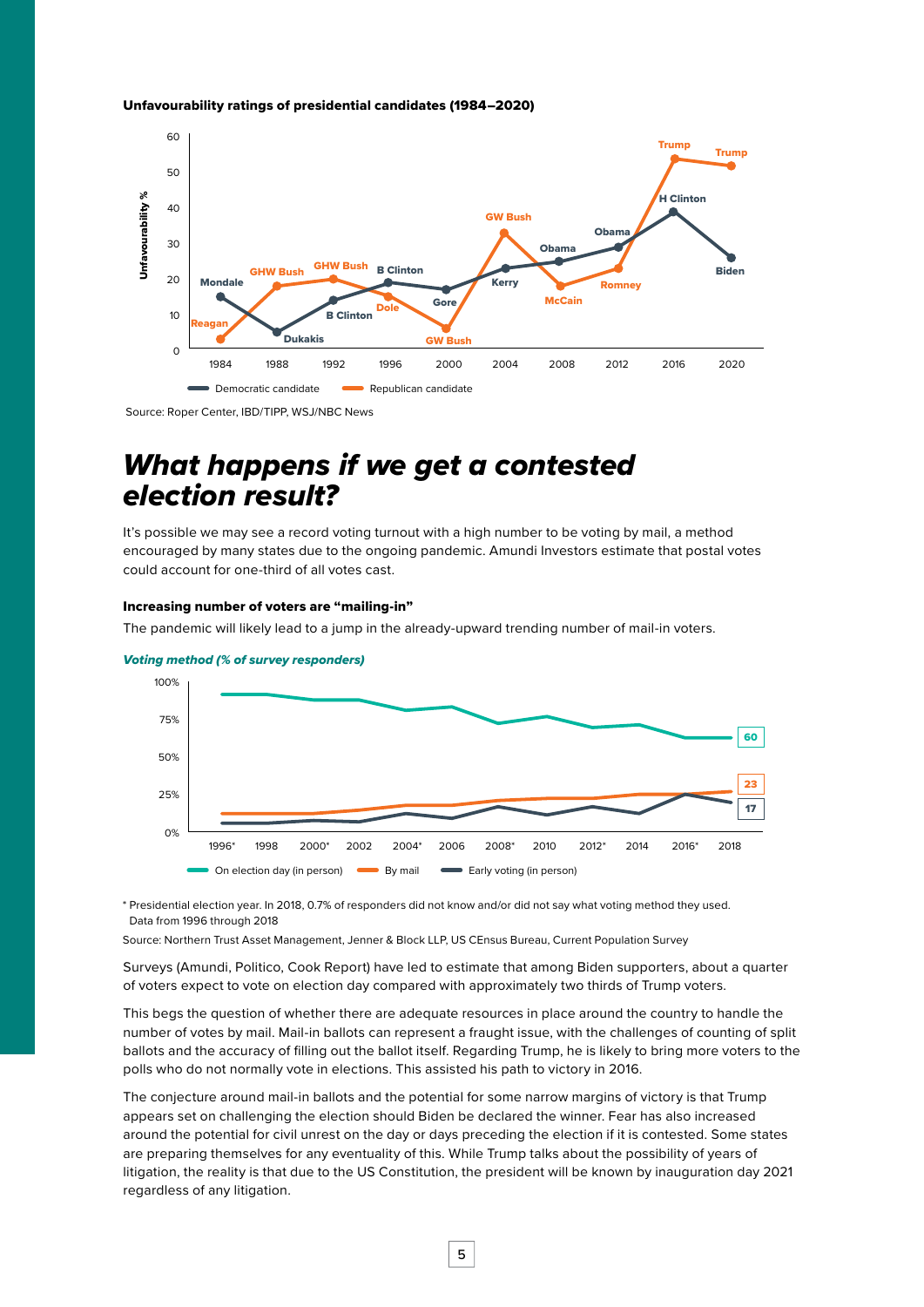#### <span id="page-4-0"></span>Unfavourability ratings of presidential candidates (1984–2020)



Source: Roper Center, IBD/TIPP, WSJ/NBC News

## *What happens if we get a contested election result?*

It's possible we may see a record voting turnout with a high number to be voting by mail, a method encouraged by many states due to the ongoing pandemic. Amundi Investors estimate that postal votes could account for one-third of all votes cast.

#### Increasing number of voters are "mailing-in"

The pandemic will likely lead to a jump in the already-upward trending number of mail-in voters.



#### *Voting method (% of survey responders)*

\* Presidential election year. In 2018, 0.7% of responders did not know and/or did not say what voting method they used. Data from 1996 through 2018

Source: Northern Trust Asset Management, Jenner & Block LLP, US CEnsus Bureau, Current Population Survey

Surveys (Amundi, Politico, Cook Report) have led to estimate that among Biden supporters, about a quarter of voters expect to vote on election day compared with approximately two thirds of Trump voters.

This begs the question of whether there are adequate resources in place around the country to handle the number of votes by mail. Mail-in ballots can represent a fraught issue, with the challenges of counting of split ballots and the accuracy of filling out the ballot itself. Regarding Trump, he is likely to bring more voters to the polls who do not normally vote in elections. This assisted his path to victory in 2016.

The conjecture around mail-in ballots and the potential for some narrow margins of victory is that Trump appears set on challenging the election should Biden be declared the winner. Fear has also increased around the potential for civil unrest on the day or days preceding the election if it is contested. Some states are preparing themselves for any eventuality of this. While Trump talks about the possibility of years of litigation, the reality is that due to the US Constitution, the president will be known by inauguration day 2021 regardless of any litigation.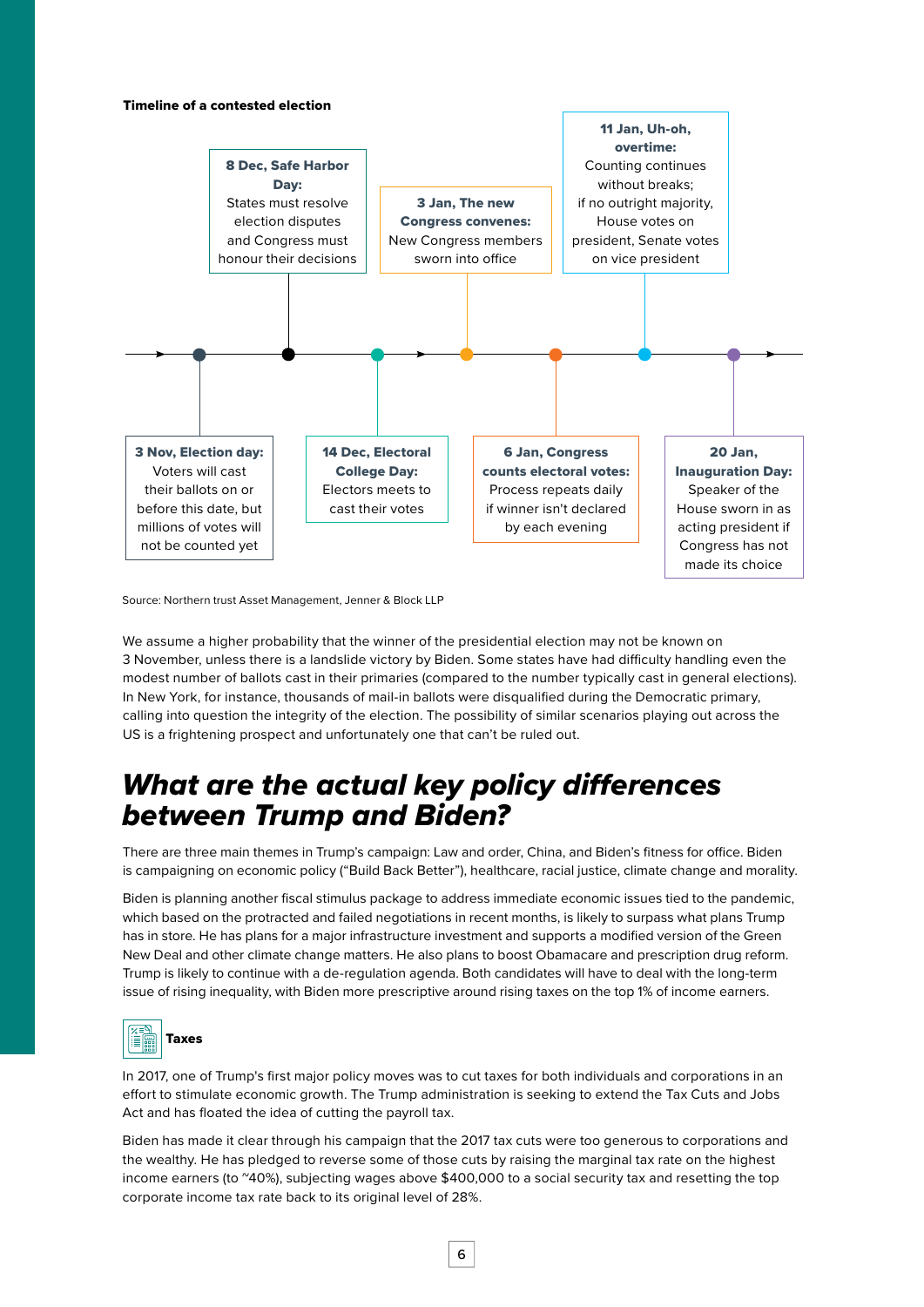### <span id="page-5-0"></span>Timeline of a contested election



Source: Northern trust Asset Management, Jenner & Block LLP

We assume a higher probability that the winner of the presidential election may not be known on 3 November, unless there is a landslide victory by Biden. Some states have had difficulty handling even the modest number of ballots cast in their primaries (compared to the number typically cast in general elections). In New York, for instance, thousands of mail-in ballots were disqualified during the Democratic primary, calling into question the integrity of the election. The possibility of similar scenarios playing out across the US is a frightening prospect and unfortunately one that can't be ruled out.

# *What are the actual key policy differences between Trump and Biden?*

There are three main themes in Trump's campaign: Law and order, China, and Biden's fitness for office. Biden is campaigning on economic policy ("Build Back Better"), healthcare, racial justice, climate change and morality.

Biden is planning another fiscal stimulus package to address immediate economic issues tied to the pandemic, which based on the protracted and failed negotiations in recent months, is likely to surpass what plans Trump has in store. He has plans for a major infrastructure investment and supports a modified version of the Green New Deal and other climate change matters. He also plans to boost Obamacare and prescription drug reform. Trump is likely to continue with a de-regulation agenda. Both candidates will have to deal with the long-term issue of rising inequality, with Biden more prescriptive around rising taxes on the top 1% of income earners.



In 2017, one of Trump's first major policy moves was to cut taxes for both individuals and corporations in an effort to stimulate economic growth. The Trump administration is seeking to extend the Tax Cuts and Jobs Act and has floated the idea of cutting the payroll tax.

Biden has made it clear through his campaign that the 2017 tax cuts were too generous to corporations and the wealthy. He has pledged to reverse some of those cuts by raising the marginal tax rate on the highest income earners (to ~40%), subjecting wages above \$400,000 to a social security tax and resetting the top corporate income tax rate back to its original level of 28%.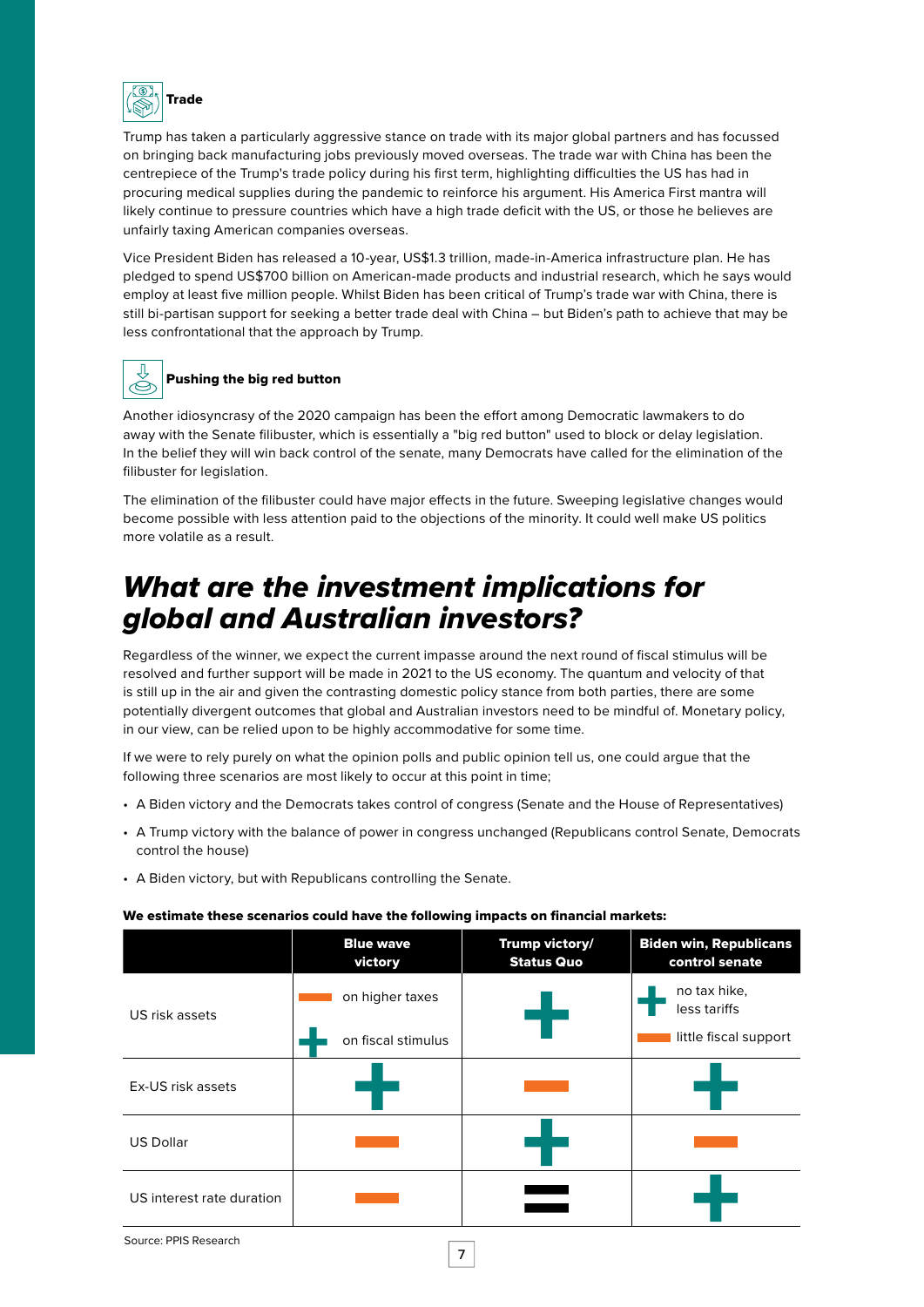<span id="page-6-0"></span>

Trump has taken a particularly aggressive stance on trade with its major global partners and has focussed on bringing back manufacturing jobs previously moved overseas. The trade war with China has been the centrepiece of the Trump's trade policy during his first term, highlighting difficulties the US has had in procuring medical supplies during the pandemic to reinforce his argument. His America First mantra will likely continue to pressure countries which have a high trade deficit with the US, or those he believes are unfairly taxing American companies overseas.

Vice President Biden has released a 10-year, US\$1.3 trillion, made-in-America infrastructure plan. He has pledged to spend US\$700 billion on American-made products and industrial research, which he says would employ at least five million people. Whilst Biden has been critical of Trump's trade war with China, there is still bi-partisan support for seeking a better trade deal with China – but Biden's path to achieve that may be less confrontational that the approach by Trump.



### Pushing the big red button

Another idiosyncrasy of the 2020 campaign has been the effort among Democratic lawmakers to do away with the Senate filibuster, which is essentially a "big red button" used to block or delay legislation. In the belief they will win back control of the senate, many Democrats have called for the elimination of the filibuster for legislation.

The elimination of the filibuster could have major effects in the future. Sweeping legislative changes would become possible with less attention paid to the objections of the minority. It could well make US politics more volatile as a result.

# *What are the investment implications for global and Australian investors?*

Regardless of the winner, we expect the current impasse around the next round of fiscal stimulus will be resolved and further support will be made in 2021 to the US economy. The quantum and velocity of that is still up in the air and given the contrasting domestic policy stance from both parties, there are some potentially divergent outcomes that global and Australian investors need to be mindful of. Monetary policy, in our view, can be relied upon to be highly accommodative for some time.

If we were to rely purely on what the opinion polls and public opinion tell us, one could argue that the following three scenarios are most likely to occur at this point in time;

- A Biden victory and the Democrats takes control of congress (Senate and the House of Representatives)
- A Trump victory with the balance of power in congress unchanged (Republicans control Senate, Democrats control the house)
- A Biden victory, but with Republicans controlling the Senate.

#### We estimate these scenarios could have the following impacts on financial markets:

|                           | <b>Blue wave</b><br>victory           | <b>Trump victory/</b><br><b>Status Quo</b> | <b>Biden win, Republicans</b><br>control senate       |
|---------------------------|---------------------------------------|--------------------------------------------|-------------------------------------------------------|
| US risk assets            | on higher taxes<br>on fiscal stimulus |                                            | no tax hike,<br>less tariffs<br>little fiscal support |
| Ex-US risk assets         |                                       |                                            |                                                       |
| <b>US Dollar</b>          |                                       |                                            |                                                       |
| US interest rate duration |                                       |                                            |                                                       |
| Course DDIC Desserat      |                                       |                                            |                                                       |

7

```
Source: PPIS Research
```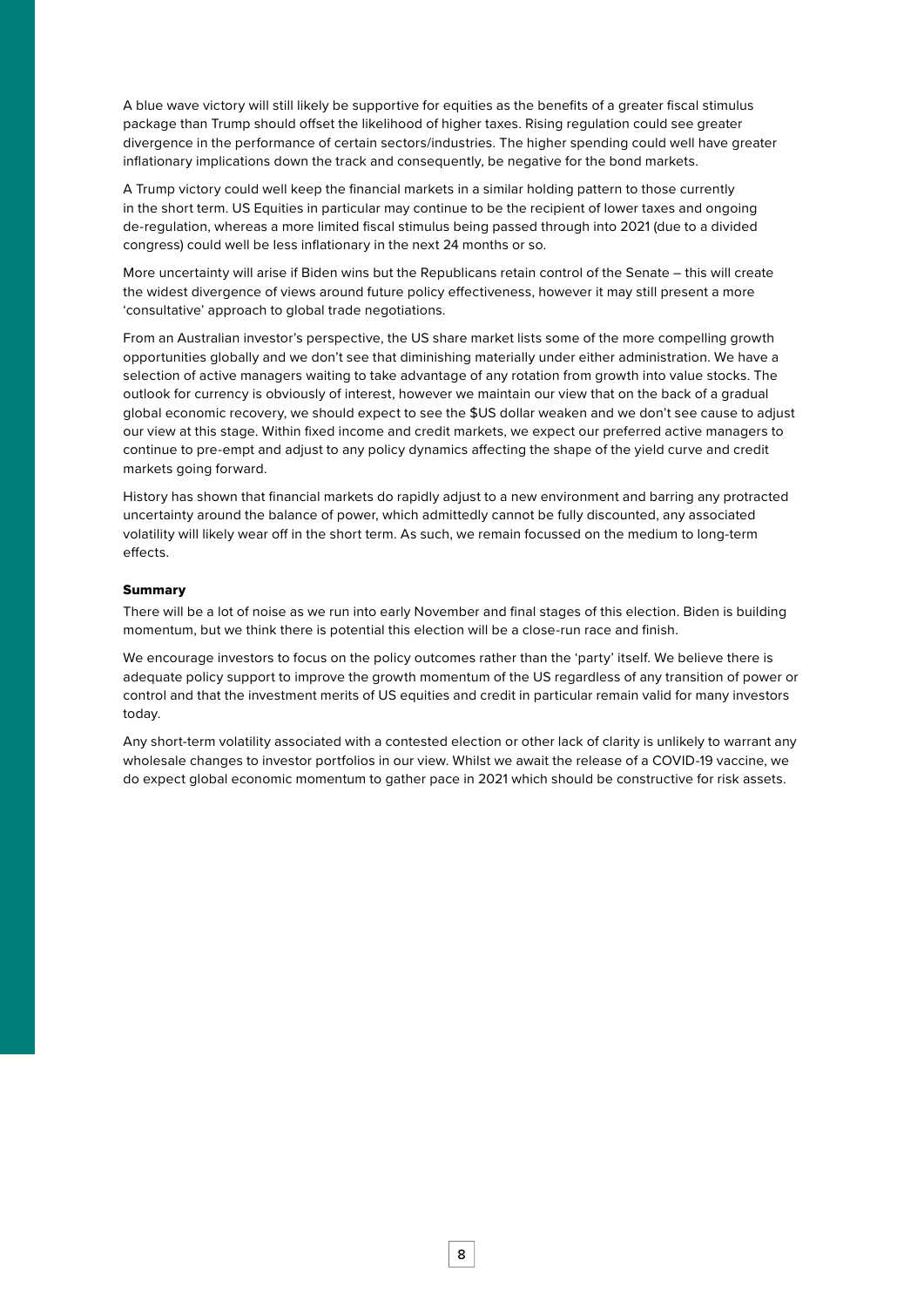A blue wave victory will still likely be supportive for equities as the benefits of a greater fiscal stimulus package than Trump should offset the likelihood of higher taxes. Rising regulation could see greater divergence in the performance of certain sectors/industries. The higher spending could well have greater inflationary implications down the track and consequently, be negative for the bond markets.

A Trump victory could well keep the financial markets in a similar holding pattern to those currently in the short term. US Equities in particular may continue to be the recipient of lower taxes and ongoing de-regulation, whereas a more limited fiscal stimulus being passed through into 2021 (due to a divided congress) could well be less inflationary in the next 24 months or so.

More uncertainty will arise if Biden wins but the Republicans retain control of the Senate – this will create the widest divergence of views around future policy effectiveness, however it may still present a more 'consultative' approach to global trade negotiations.

From an Australian investor's perspective, the US share market lists some of the more compelling growth opportunities globally and we don't see that diminishing materially under either administration. We have a selection of active managers waiting to take advantage of any rotation from growth into value stocks. The outlook for currency is obviously of interest, however we maintain our view that on the back of a gradual global economic recovery, we should expect to see the \$US dollar weaken and we don't see cause to adjust our view at this stage. Within fixed income and credit markets, we expect our preferred active managers to continue to pre-empt and adjust to any policy dynamics affecting the shape of the yield curve and credit markets going forward.

History has shown that financial markets do rapidly adjust to a new environment and barring any protracted uncertainty around the balance of power, which admittedly cannot be fully discounted, any associated volatility will likely wear off in the short term. As such, we remain focussed on the medium to long-term effects.

#### Summary

There will be a lot of noise as we run into early November and final stages of this election. Biden is building momentum, but we think there is potential this election will be a close-run race and finish.

We encourage investors to focus on the policy outcomes rather than the 'party' itself. We believe there is adequate policy support to improve the growth momentum of the US regardless of any transition of power or control and that the investment merits of US equities and credit in particular remain valid for many investors today.

Any short-term volatility associated with a contested election or other lack of clarity is unlikely to warrant any wholesale changes to investor portfolios in our view. Whilst we await the release of a COVID-19 vaccine, we do expect global economic momentum to gather pace in 2021 which should be constructive for risk assets.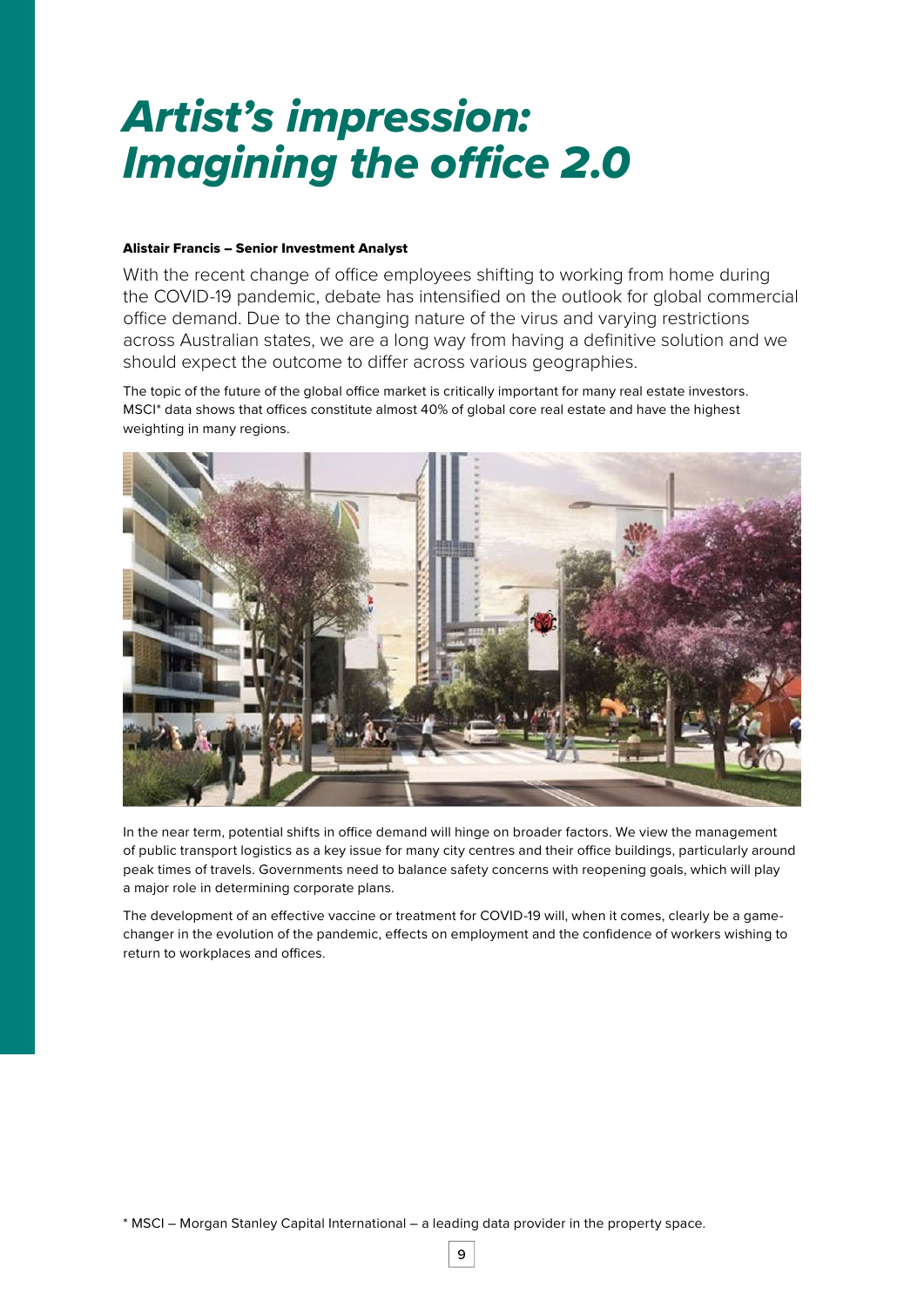# *Artist's impression: Imagining the office 2.0*

### Alistair Francis – Senior Investment Analyst

With the recent change of office employees shifting to working from home during the COVID-19 pandemic, debate has intensified on the outlook for global commercial office demand. Due to the changing nature of the virus and varying restrictions across Australian states, we are a long way from having a definitive solution and we should expect the outcome to differ across various geographies.

The topic of the future of the global office market is critically important for many real estate investors. MSCI\* data shows that offices constitute almost 40% of global core real estate and have the highest weighting in many regions.



In the near term, potential shifts in office demand will hinge on broader factors. We view the management of public transport logistics as a key issue for many city centres and their office buildings, particularly around peak times of travels. Governments need to balance safety concerns with reopening goals, which will play a major role in determining corporate plans.

The development of an effective vaccine or treatment for COVID-19 will, when it comes, clearly be a gamechanger in the evolution of the pandemic, effects on employment and the confidence of workers wishing to return to workplaces and offices.

\* MSCI – Morgan Stanley Capital International – a leading data provider in the property space.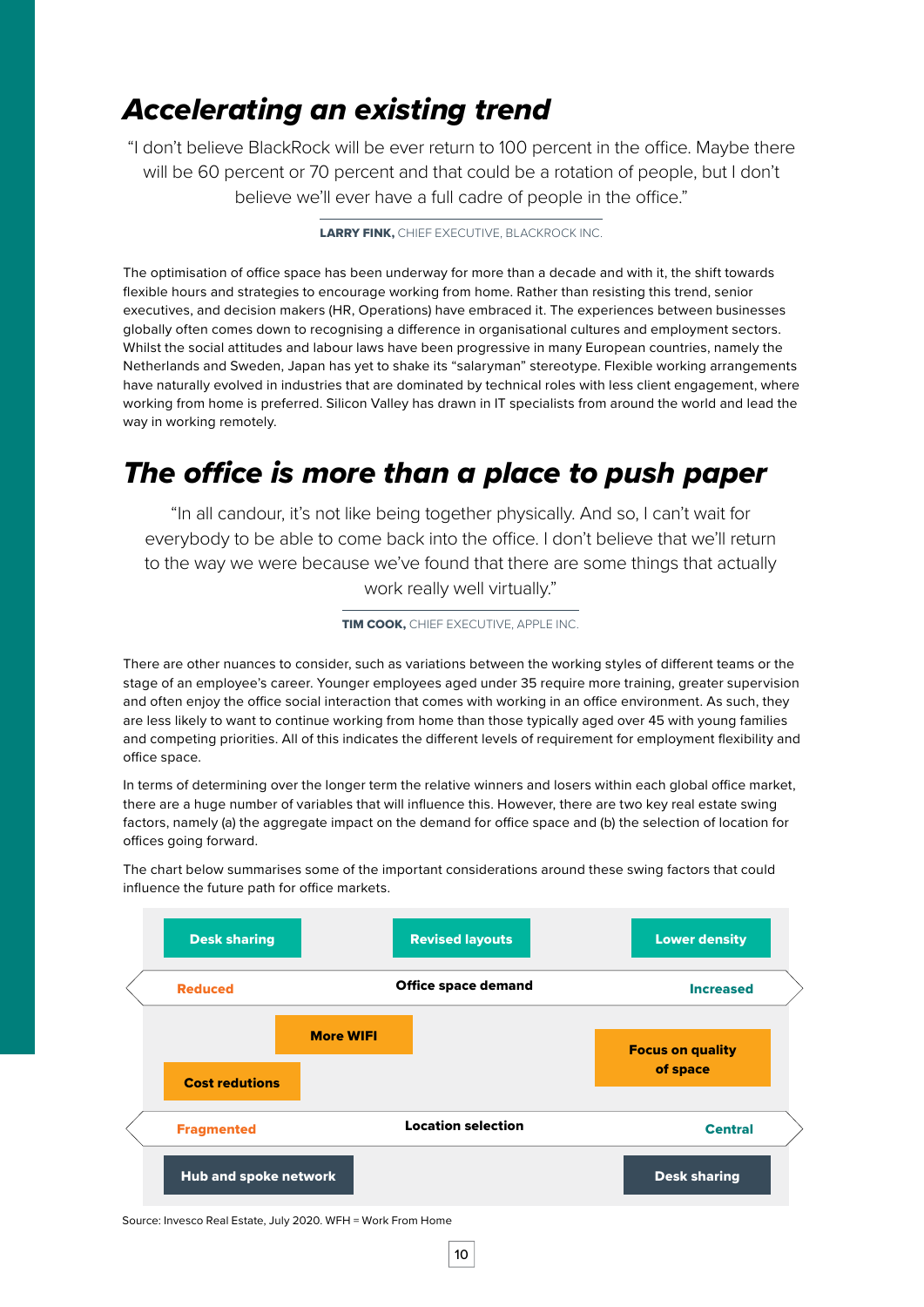# *Accelerating an existing trend*

"I don't believe BlackRock will be ever return to 100 percent in the office. Maybe there will be 60 percent or 70 percent and that could be a rotation of people, but I don't believe we'll ever have a full cadre of people in the office."

LARRY FINK, CHIEF EXECUTIVE, BLACKROCK INC.

The optimisation of office space has been underway for more than a decade and with it, the shift towards flexible hours and strategies to encourage working from home. Rather than resisting this trend, senior executives, and decision makers (HR, Operations) have embraced it. The experiences between businesses globally often comes down to recognising a difference in organisational cultures and employment sectors. Whilst the social attitudes and labour laws have been progressive in many European countries, namely the Netherlands and Sweden, Japan has yet to shake its "salaryman" stereotype. Flexible working arrangements have naturally evolved in industries that are dominated by technical roles with less client engagement, where working from home is preferred. Silicon Valley has drawn in IT specialists from around the world and lead the way in working remotely.

# *The office is more than a place to push paper*

"In all candour, it's not like being together physically. And so, I can't wait for everybody to be able to come back into the office. I don't believe that we'll return to the way we were because we've found that there are some things that actually work really well virtually."

**TIM COOK, CHIEF EXECUTIVE, APPLE INC.** 

There are other nuances to consider, such as variations between the working styles of different teams or the stage of an employee's career. Younger employees aged under 35 require more training, greater supervision and often enjoy the office social interaction that comes with working in an office environment. As such, they are less likely to want to continue working from home than those typically aged over 45 with young families and competing priorities. All of this indicates the different levels of requirement for employment flexibility and office space.

In terms of determining over the longer term the relative winners and losers within each global office market, there are a huge number of variables that will influence this. However, there are two key real estate swing factors, namely (a) the aggregate impact on the demand for office space and (b) the selection of location for offices going forward.

The chart below summarises some of the important considerations around these swing factors that could influence the future path for office markets.



Source: Invesco Real Estate, July 2020. WFH = Work From Home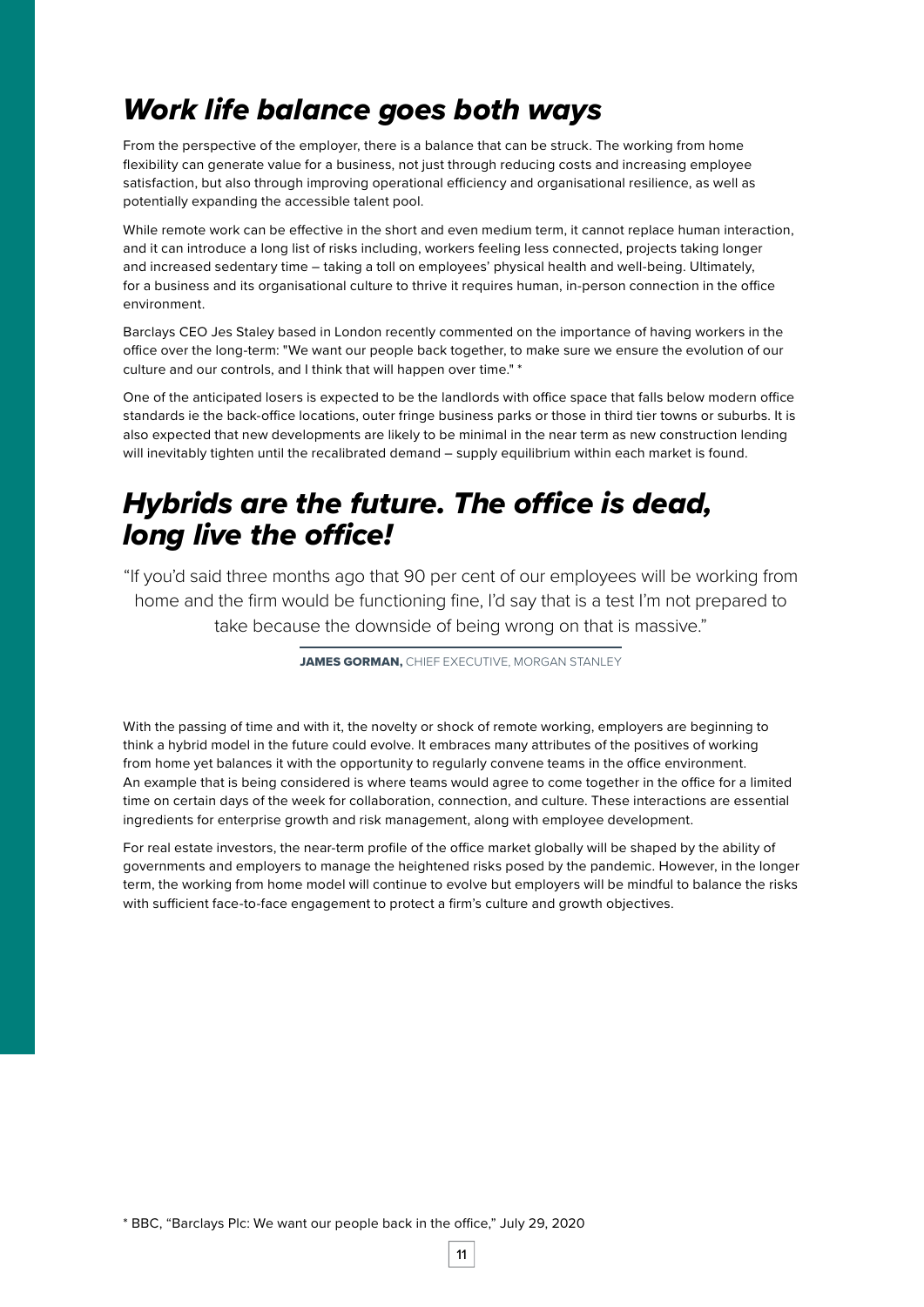# *Work life balance goes both ways*

From the perspective of the employer, there is a balance that can be struck. The working from home flexibility can generate value for a business, not just through reducing costs and increasing employee satisfaction, but also through improving operational efficiency and organisational resilience, as well as potentially expanding the accessible talent pool.

While remote work can be effective in the short and even medium term, it cannot replace human interaction, and it can introduce a long list of risks including, workers feeling less connected, projects taking longer and increased sedentary time – taking a toll on employees' physical health and well-being. Ultimately, for a business and its organisational culture to thrive it requires human, in-person connection in the office environment.

Barclays CEO Jes Staley based in London recently commented on the importance of having workers in the office over the long-term: "We want our people back together, to make sure we ensure the evolution of our culture and our controls, and I think that will happen over time." \*

One of the anticipated losers is expected to be the landlords with office space that falls below modern office standards ie the back-office locations, outer fringe business parks or those in third tier towns or suburbs. It is also expected that new developments are likely to be minimal in the near term as new construction lending will inevitably tighten until the recalibrated demand – supply equilibrium within each market is found.

# *Hybrids are the future. The office is dead, long live the office!*

"If you'd said three months ago that 90 per cent of our employees will be working from home and the firm would be functioning fine, I'd say that is a test I'm not prepared to take because the downside of being wrong on that is massive."

JAMES GORMAN. CHIEF EXECUTIVE, MORGAN STANLEY

With the passing of time and with it, the novelty or shock of remote working, employers are beginning to think a hybrid model in the future could evolve. It embraces many attributes of the positives of working from home yet balances it with the opportunity to regularly convene teams in the office environment. An example that is being considered is where teams would agree to come together in the office for a limited time on certain days of the week for collaboration, connection, and culture. These interactions are essential ingredients for enterprise growth and risk management, along with employee development.

For real estate investors, the near-term profile of the office market globally will be shaped by the ability of governments and employers to manage the heightened risks posed by the pandemic. However, in the longer term, the working from home model will continue to evolve but employers will be mindful to balance the risks with sufficient face-to-face engagement to protect a firm's culture and growth objectives.

\* BBC, "Barclays Plc: We want our people back in the office," July 29, 2020